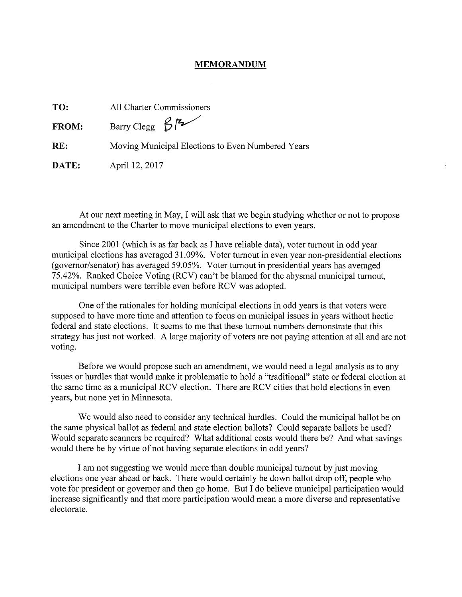## **MEMORANDUM**

| TO:          | All Charter Commissioners                         |
|--------------|---------------------------------------------------|
| <b>FROM:</b> | Barry Clegg $\beta$ $\sim$                        |
| RE:          | Moving Municipal Elections to Even Numbered Years |
| DATE:        | April 12, 2017                                    |

At our next meeting in May, I will ask that we begin studying whether or not to propose an amendment to the Charter to move municipal elections to even years.

Since 2001 (which is as far back as I have reliable data), voter turnout in odd year municipal elections has averaged 31.09%. Voter turnout in even year non-presidential elections (governor/senator) has averaged 59.05%. Voter turnout in presidential years has averaged 75.42%. Ranked Choice Voting (RCV) can't be blamed for the abysmal municipal turnout, municipal numbers were terrible even before RCV was adopted.

One of the rationales for holding municipal elections in odd years is that voters were supposed to have more time and attention to focus on municipal issues in years without hectic federal and state elections. It seems to me that these turnout numbers demonstrate that this strategy has just not worked. A large majority of voters are not paying attention at all and are not voting.

Before we would propose such an amendment, we would need a legal analysis as to any issues or hurdles that would make it problematic to hold a "traditional" state or federal election at the same time as a municipal RCV election. There are RCV cities that hold elections in even years, but none yet in Minnesota.

We would also need to consider any technical hurdles. Could the municipal ballot be on the same physical ballot as federal and state election ballots? Could separate ballots be used? Would separate scanners be required? What additional costs would there be? And what savings would there be by virtue of not having separate elections in odd years?

I am not suggesting we would more than double municipal turnout by just moving elections one year ahead or back. There would certainly be down ballot drop off, people who vote for president or governor and then go home. But I do believe municipal participation would increase significantly and that more participation would mean a more diverse and representative electorate.